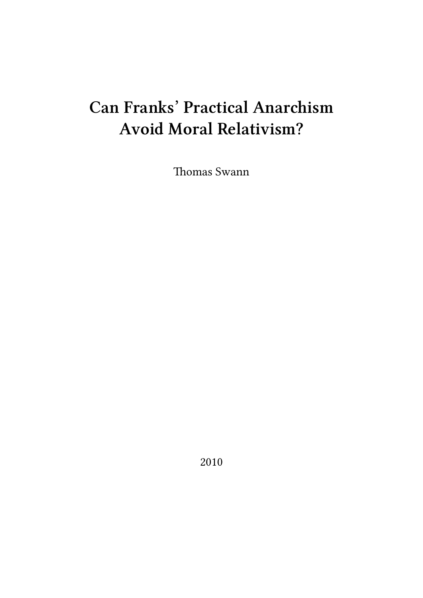# **Can Franks' Practical Anarchism Avoid Moral Relativism?**

Thomas Swann

2010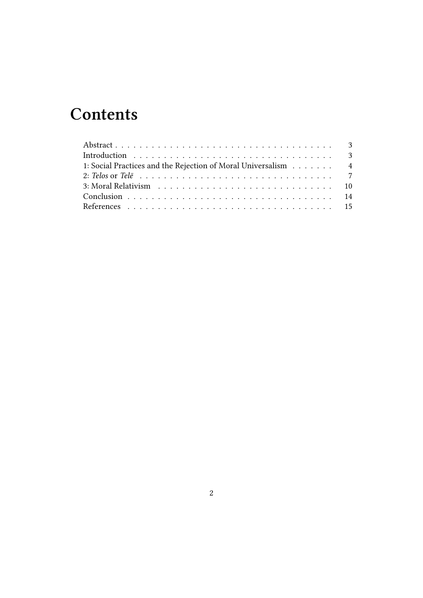## **Contents**

| 1: Social Practices and the Rejection of Moral Universalism 4 |  |
|---------------------------------------------------------------|--|
|                                                               |  |
|                                                               |  |
|                                                               |  |
|                                                               |  |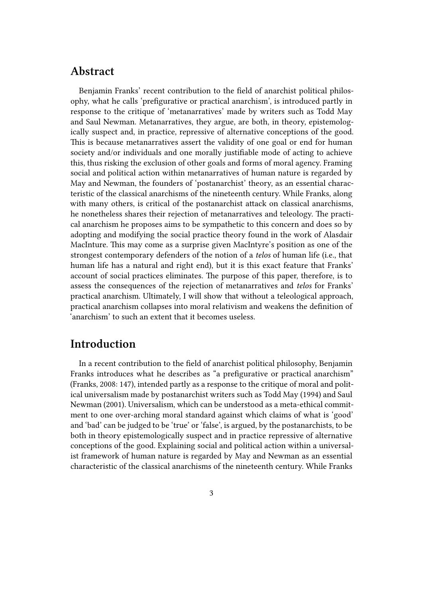## <span id="page-2-0"></span>**Abstract**

Benjamin Franks' recent contribution to the field of anarchist political philosophy, what he calls 'prefigurative or practical anarchism', is introduced partly in response to the critique of 'metanarratives' made by writers such as Todd May and Saul Newman. Metanarratives, they argue, are both, in theory, epistemologically suspect and, in practice, repressive of alternative conceptions of the good. This is because metanarratives assert the validity of one goal or end for human society and/or individuals and one morally justifiable mode of acting to achieve this, thus risking the exclusion of other goals and forms of moral agency. Framing social and political action within metanarratives of human nature is regarded by May and Newman, the founders of 'postanarchist' theory, as an essential characteristic of the classical anarchisms of the nineteenth century. While Franks, along with many others, is critical of the postanarchist attack on classical anarchisms, he nonetheless shares their rejection of metanarratives and teleology. The practical anarchism he proposes aims to be sympathetic to this concern and does so by adopting and modifying the social practice theory found in the work of Alasdair MacInture. This may come as a surprise given MacIntyre's position as one of the strongest contemporary defenders of the notion of a *telos* of human life (i.e., that human life has a natural and right end), but it is this exact feature that Franks' account of social practices eliminates. The purpose of this paper, therefore, is to assess the consequences of the rejection of metanarratives and *telos* for Franks' practical anarchism. Ultimately, I will show that without a teleological approach, practical anarchism collapses into moral relativism and weakens the definition of 'anarchism' to such an extent that it becomes useless.

## <span id="page-2-1"></span>**Introduction**

In a recent contribution to the field of anarchist political philosophy, Benjamin Franks introduces what he describes as "a prefigurative or practical anarchism" (Franks, 2008: 147), intended partly as a response to the critique of moral and political universalism made by postanarchist writers such as Todd May (1994) and Saul Newman (2001). Universalism, which can be understood as a meta-ethical commitment to one over-arching moral standard against which claims of what is 'good' and 'bad' can be judged to be 'true' or 'false', is argued, by the postanarchists, to be both in theory epistemologically suspect and in practice repressive of alternative conceptions of the good. Explaining social and political action within a universalist framework of human nature is regarded by May and Newman as an essential characteristic of the classical anarchisms of the nineteenth century. While Franks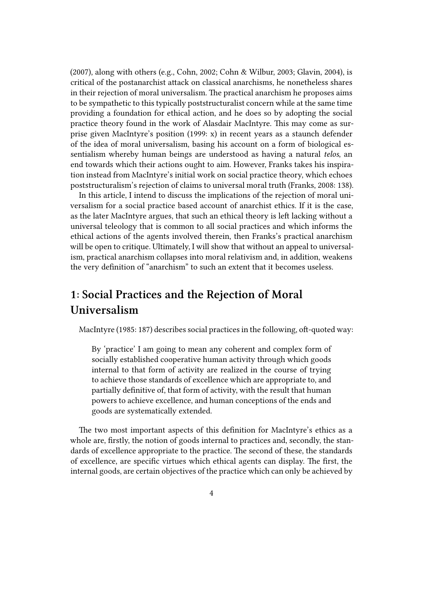(2007), along with others (e.g., Cohn, 2002; Cohn & Wilbur, 2003; Glavin, 2004), is critical of the postanarchist attack on classical anarchisms, he nonetheless shares in their rejection of moral universalism. The practical anarchism he proposes aims to be sympathetic to this typically poststructuralist concern while at the same time providing a foundation for ethical action, and he does so by adopting the social practice theory found in the work of Alasdair MacIntyre. This may come as surprise given MacIntyre's position (1999: x) in recent years as a staunch defender of the idea of moral universalism, basing his account on a form of biological essentialism whereby human beings are understood as having a natural *telos*, an end towards which their actions ought to aim. However, Franks takes his inspiration instead from MacIntyre's initial work on social practice theory, which echoes poststructuralism's rejection of claims to universal moral truth (Franks, 2008: 138).

In this article, I intend to discuss the implications of the rejection of moral universalism for a social practice based account of anarchist ethics. If it is the case, as the later MacIntyre argues, that such an ethical theory is left lacking without a universal teleology that is common to all social practices and which informs the ethical actions of the agents involved therein, then Franks's practical anarchism will be open to critique. Ultimately, I will show that without an appeal to universalism, practical anarchism collapses into moral relativism and, in addition, weakens the very definition of "anarchism" to such an extent that it becomes useless.

## <span id="page-3-0"></span>**1: Social Practices and the Rejection of Moral Universalism**

MacIntyre (1985: 187) describes social practices in the following, oft-quoted way:

By 'practice' I am going to mean any coherent and complex form of socially established cooperative human activity through which goods internal to that form of activity are realized in the course of trying to achieve those standards of excellence which are appropriate to, and partially definitive of, that form of activity, with the result that human powers to achieve excellence, and human conceptions of the ends and goods are systematically extended.

The two most important aspects of this definition for MacIntyre's ethics as a whole are, firstly, the notion of goods internal to practices and, secondly, the standards of excellence appropriate to the practice. The second of these, the standards of excellence, are specific virtues which ethical agents can display. The first, the internal goods, are certain objectives of the practice which can only be achieved by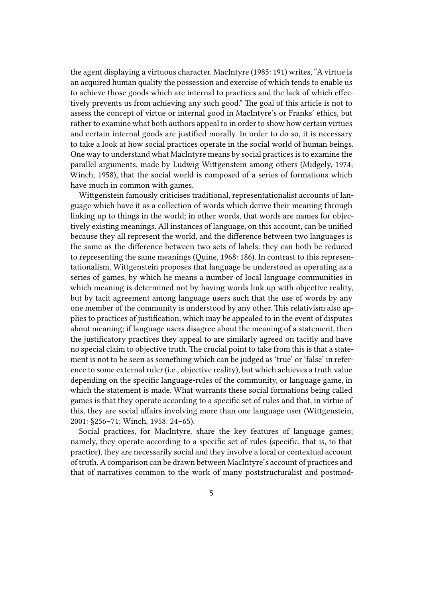the agent displaying a virtuous character. MacIntyre (1985: 191) writes, "A virtue is an acquired human quality the possession and exercise of which tends to enable us to achieve those goods which are internal to practices and the lack of which effectively prevents us from achieving any such good." The goal of this article is not to assess the concept of virtue or internal good in MacIntyre's or Franks' ethics, but rather to examine what both authors appeal to in order to show how certain virtues and certain internal goods are justified morally. In order to do so, it is necessary to take a look at how social practices operate in the social world of human beings. One way to understand what MacIntyre means by social practices is to examine the parallel arguments, made by Ludwig Wittgenstein among others (Midgely, 1974; Winch, 1958), that the social world is composed of a series of formations which have much in common with games.

Wittgenstein famously criticises traditional, representationalist accounts of language which have it as a collection of words which derive their meaning through linking up to things in the world; in other words, that words are names for objectively existing meanings. All instances of language, on this account, can be unified because they all represent the world, and the difference between two languages is the same as the difference between two sets of labels: they can both be reduced to representing the same meanings (Quine, 1968: 186). In contrast to this representationalism, Wittgenstein proposes that language be understood as operating as a series of games, by which he means a number of local language communities in which meaning is determined not by having words link up with objective reality, but by tacit agreement among language users such that the use of words by any one member of the community is understood by any other. This relativism also applies to practices of justification, which may be appealed to in the event of disputes about meaning; if language users disagree about the meaning of a statement, then the justificatory practices they appeal to are similarly agreed on tacitly and have no special claim to objective truth. The crucial point to take from this is that a statement is not to be seen as something which can be judged as 'true' or 'false' in reference to some external ruler (i.e., objective reality), but which achieves a truth value depending on the specific language-rules of the community, or language game, in which the statement is made. What warrants these social formations being called games is that they operate according to a specific set of rules and that, in virtue of this, they are social affairs involving more than one language user (Wittgenstein, 2001: §256–71; Winch, 1958: 24–65).

Social practices, for MacIntyre, share the key features of language games; namely, they operate according to a specific set of rules (specific, that is, to that practice), they are necessarily social and they involve a local or contextual account of truth. A comparison can be drawn between MacIntyre's account of practices and that of narratives common to the work of many poststructuralist and postmod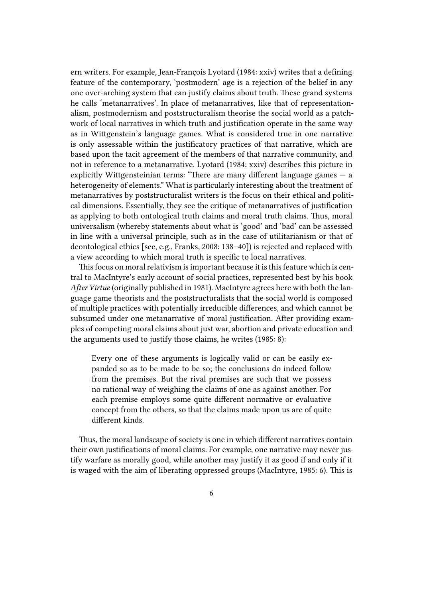ern writers. For example, Jean-François Lyotard (1984: xxiv) writes that a defining feature of the contemporary, 'postmodern' age is a rejection of the belief in any one over-arching system that can justify claims about truth. These grand systems he calls 'metanarratives'. In place of metanarratives, like that of representationalism, postmodernism and poststructuralism theorise the social world as a patchwork of local narratives in which truth and justification operate in the same way as in Wittgenstein's language games. What is considered true in one narrative is only assessable within the justificatory practices of that narrative, which are based upon the tacit agreement of the members of that narrative community, and not in reference to a metanarrative. Lyotard (1984: xxiv) describes this picture in explicitly Wittgensteinian terms: "There are many different language games — a heterogeneity of elements." What is particularly interesting about the treatment of metanarratives by poststructuralist writers is the focus on their ethical and political dimensions. Essentially, they see the critique of metanarratives of justification as applying to both ontological truth claims and moral truth claims. Thus, moral universalism (whereby statements about what is 'good' and 'bad' can be assessed in line with a universal principle, such as in the case of utilitarianism or that of deontological ethics [see, e.g., Franks, 2008: 138–40]) is rejected and replaced with a view according to which moral truth is specific to local narratives.

This focus on moral relativism is important because it is this feature which is central to MacIntyre's early account of social practices, represented best by his book *After Virtue* (originally published in 1981). MacIntyre agrees here with both the language game theorists and the poststructuralists that the social world is composed of multiple practices with potentially irreducible differences, and which cannot be subsumed under one metanarrative of moral justification. After providing examples of competing moral claims about just war, abortion and private education and the arguments used to justify those claims, he writes (1985: 8):

Every one of these arguments is logically valid or can be easily expanded so as to be made to be so; the conclusions do indeed follow from the premises. But the rival premises are such that we possess no rational way of weighing the claims of one as against another. For each premise employs some quite different normative or evaluative concept from the others, so that the claims made upon us are of quite different kinds.

Thus, the moral landscape of society is one in which different narratives contain their own justifications of moral claims. For example, one narrative may never justify warfare as morally good, while another may justify it as good if and only if it is waged with the aim of liberating oppressed groups (MacIntyre, 1985: 6). This is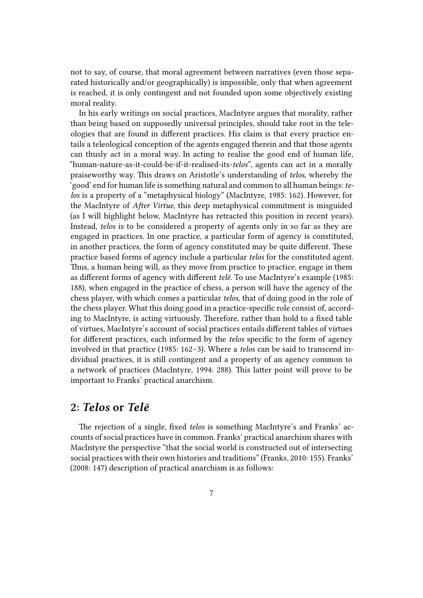not to say, of course, that moral agreement between narratives (even those separated historically and/or geographically) is impossible, only that when agreement is reached, it is only contingent and not founded upon some objectively existing moral reality.

In his early writings on social practices, MacIntyre argues that morality, rather than being based on supposedly universal principles, should take root in the teleologies that are found in different practices. His claim is that every practice entails a teleological conception of the agents engaged therein and that those agents can thusly act in a moral way. In acting to realise the good end of human life, "human-nature-as-it-could-be-if-it-realised-its-*telos*", agents can act in a morally praiseworthy way. This draws on Aristotle's understanding of *telos*, whereby the 'good' end for human life is something natural and common to all human beings: *telos* is a property of a "metaphysical biology" (MacIntyre, 1985: 162). However, for the MacIntyre of *After Virtue*, this deep metaphysical commitment is misguided (as I will highlight below, MacIntyre has retracted this position in recent years). Instead, *telos* is to be considered a property of agents only in so far as they are engaged in practices. In one practice, a particular form of agency is constituted, in another practices, the form of agency constituted may be quite different. These practice based forms of agency include a particular *telos* for the constituted agent. Thus, a human being will, as they move from practice to practice, engage in them as different forms of agency with different *telē*. To use MacIntyre's example (1985: 188), when engaged in the practice of chess, a person will have the agency of the chess player, with which comes a particular *telos*, that of doing good in the role of the chess player. What this doing good in a practice-specific role consist of, according to MacIntyre, is acting virtuously. Therefore, rather than hold to a fixed table of virtues, MacIntyre's account of social practices entails different tables of virtues for different practices, each informed by the *telos* specific to the form of agency involved in that practice (1985: 162–3). Where a *telos* can be said to transcend individual practices, it is still contingent and a property of an agency common to a network of practices (MacIntyre, 1994: 288). This latter point will prove to be important to Franks' practical anarchism.

### <span id="page-6-0"></span>**2:** *Telos* **or** *Telē*

The rejection of a single, fixed *telos* is something MacIntyre's and Franks' accounts of social practices have in common. Franks' practical anarchism shares with MacIntyre the perspective "that the social world is constructed out of intersecting social practices with their own histories and traditions" (Franks, 2010: 155). Franks' (2008: 147) description of practical anarchism is as follows: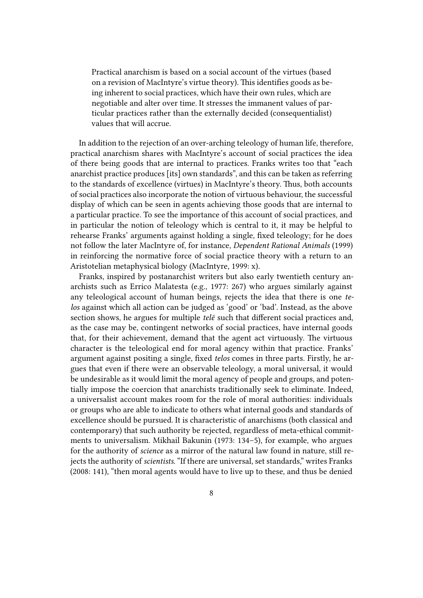Practical anarchism is based on a social account of the virtues (based on a revision of MacIntyre's virtue theory). This identifies goods as being inherent to social practices, which have their own rules, which are negotiable and alter over time. It stresses the immanent values of particular practices rather than the externally decided (consequentialist) values that will accrue.

In addition to the rejection of an over-arching teleology of human life, therefore, practical anarchism shares with MacIntyre's account of social practices the idea of there being goods that are internal to practices. Franks writes too that "each anarchist practice produces [its] own standards", and this can be taken as referring to the standards of excellence (virtues) in MacIntyre's theory. Thus, both accounts of social practices also incorporate the notion of virtuous behaviour, the successful display of which can be seen in agents achieving those goods that are internal to a particular practice. To see the importance of this account of social practices, and in particular the notion of teleology which is central to it, it may be helpful to rehearse Franks' arguments against holding a single, fixed teleology; for he does not follow the later MacIntyre of, for instance, *Dependent Rational Animals* (1999) in reinforcing the normative force of social practice theory with a return to an Aristotelian metaphysical biology (MacIntyre, 1999: x).

Franks, inspired by postanarchist writers but also early twentieth century anarchists such as Errico Malatesta (e.g., 1977: 267) who argues similarly against any teleological account of human beings, rejects the idea that there is one *telos* against which all action can be judged as 'good' or 'bad'. Instead, as the above section shows, he argues for multiple *telē* such that different social practices and, as the case may be, contingent networks of social practices, have internal goods that, for their achievement, demand that the agent act virtuously. The virtuous character is the teleological end for moral agency within that practice. Franks' argument against positing a single, fixed *telos* comes in three parts. Firstly, he argues that even if there were an observable teleology, a moral universal, it would be undesirable as it would limit the moral agency of people and groups, and potentially impose the coercion that anarchists traditionally seek to eliminate. Indeed, a universalist account makes room for the role of moral authorities: individuals or groups who are able to indicate to others what internal goods and standards of excellence should be pursued. It is characteristic of anarchisms (both classical and contemporary) that such authority be rejected, regardless of meta-ethical commitments to universalism. Mikhail Bakunin (1973: 134–5), for example, who argues for the authority of *science* as a mirror of the natural law found in nature, still rejects the authority of *scientists*. "If there are universal, set standards," writes Franks (2008: 141), "then moral agents would have to live up to these, and thus be denied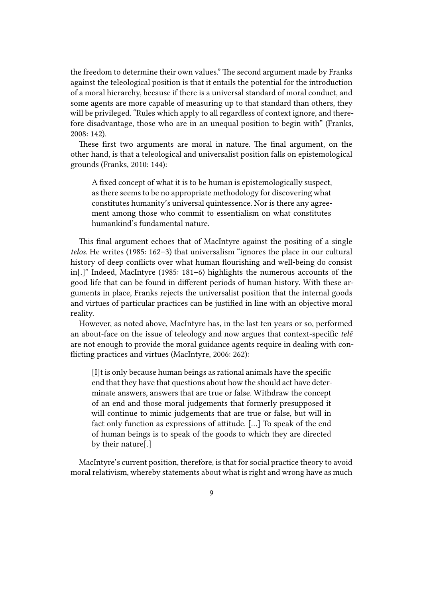the freedom to determine their own values." The second argument made by Franks against the teleological position is that it entails the potential for the introduction of a moral hierarchy, because if there is a universal standard of moral conduct, and some agents are more capable of measuring up to that standard than others, they will be privileged. "Rules which apply to all regardless of context ignore, and therefore disadvantage, those who are in an unequal position to begin with" (Franks, 2008: 142).

These first two arguments are moral in nature. The final argument, on the other hand, is that a teleological and universalist position falls on epistemological grounds (Franks, 2010: 144):

A fixed concept of what it is to be human is epistemologically suspect, as there seems to be no appropriate methodology for discovering what constitutes humanity's universal quintessence. Nor is there any agreement among those who commit to essentialism on what constitutes humankind's fundamental nature.

This final argument echoes that of MacIntyre against the positing of a single *telos*. He writes (1985: 162–3) that universalism "ignores the place in our cultural history of deep conflicts over what human flourishing and well-being do consist in[.]" Indeed, MacIntyre (1985: 181–6) highlights the numerous accounts of the good life that can be found in different periods of human history. With these arguments in place, Franks rejects the universalist position that the internal goods and virtues of particular practices can be justified in line with an objective moral reality.

However, as noted above, MacIntyre has, in the last ten years or so, performed an about-face on the issue of teleology and now argues that context-specific *telē* are not enough to provide the moral guidance agents require in dealing with conflicting practices and virtues (MacIntyre, 2006: 262):

[I]t is only because human beings as rational animals have the specific end that they have that questions about how the should act have determinate answers, answers that are true or false. Withdraw the concept of an end and those moral judgements that formerly presupposed it will continue to mimic judgements that are true or false, but will in fact only function as expressions of attitude. […] To speak of the end of human beings is to speak of the goods to which they are directed by their nature[.]

MacIntyre's current position, therefore, is that for social practice theory to avoid moral relativism, whereby statements about what is right and wrong have as much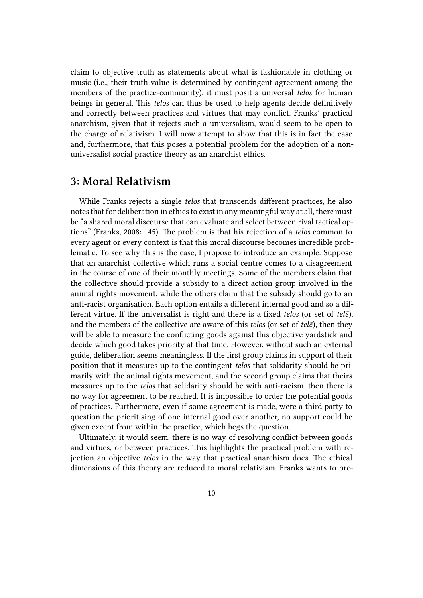claim to objective truth as statements about what is fashionable in clothing or music (i.e., their truth value is determined by contingent agreement among the members of the practice-community), it must posit a universal *telos* for human beings in general. This *telos* can thus be used to help agents decide definitively and correctly between practices and virtues that may conflict. Franks' practical anarchism, given that it rejects such a universalism, would seem to be open to the charge of relativism. I will now attempt to show that this is in fact the case and, furthermore, that this poses a potential problem for the adoption of a nonuniversalist social practice theory as an anarchist ethics.

### **3: Moral Relativism**

While Franks rejects a single *telos* that transcends different practices, he also notes that for deliberation in ethics to exist in any meaningful way at all, there must be "a shared moral discourse that can evaluate and select between rival tactical options" (Franks, 2008: 145). The problem is that his rejection of a *telos* common to every agent or every context is that this moral discourse becomes incredible problematic. To see why this is the case, I propose to introduce an example. Suppose that an anarchist collective which runs a social centre comes to a disagreement in the course of one of their monthly meetings. Some of the members claim that the collective should provide a subsidy to a direct action group involved in the animal rights movement, while the others claim that the subsidy should go to an anti-racist organisation. Each option entails a different internal good and so a different virtue. If the universalist is right and there is a fixed *telos* (or set of *telē*), and the members of the collective are aware of this *telos* (or set of *telē*), then they will be able to measure the conflicting goods against this objective yardstick and decide which good takes priority at that time. However, without such an external guide, deliberation seems meaningless. If the first group claims in support of their position that it measures up to the contingent *telos* that solidarity should be primarily with the animal rights movement, and the second group claims that theirs measures up to the *telos* that solidarity should be with anti-racism, then there is no way for agreement to be reached. It is impossible to order the potential goods of practices. Furthermore, even if some agreement is made, were a third party to question the prioritising of one internal good over another, no support could be given except from within the practice, which begs the question.

Ultimately, it would seem, there is no way of resolving conflict between goods and virtues, or between practices. This highlights the practical problem with rejection an objective *telos* in the way that practical anarchism does. The ethical dimensions of this theory are reduced to moral relativism. Franks wants to pro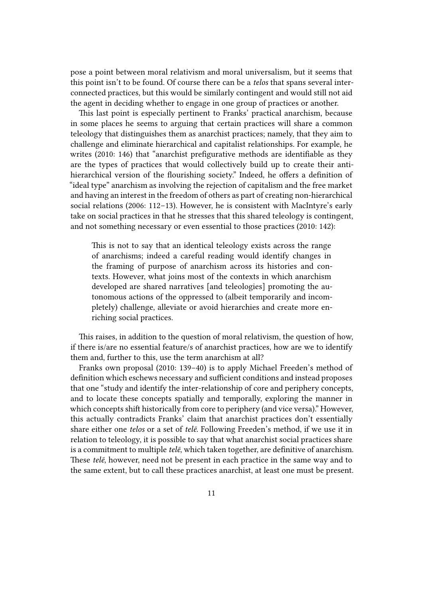pose a point between moral relativism and moral universalism, but it seems that this point isn't to be found. Of course there can be a *telos* that spans several interconnected practices, but this would be similarly contingent and would still not aid the agent in deciding whether to engage in one group of practices or another.

This last point is especially pertinent to Franks' practical anarchism, because in some places he seems to arguing that certain practices will share a common teleology that distinguishes them as anarchist practices; namely, that they aim to challenge and eliminate hierarchical and capitalist relationships. For example, he writes (2010: 146) that "anarchist prefigurative methods are identifiable as they are the types of practices that would collectively build up to create their antihierarchical version of the flourishing society." Indeed, he offers a definition of "ideal type" anarchism as involving the rejection of capitalism and the free market and having an interest in the freedom of others as part of creating non-hierarchical social relations (2006: 112–13). However, he is consistent with MacIntyre's early take on social practices in that he stresses that this shared teleology is contingent, and not something necessary or even essential to those practices (2010: 142):

This is not to say that an identical teleology exists across the range of anarchisms; indeed a careful reading would identify changes in the framing of purpose of anarchism across its histories and contexts. However, what joins most of the contexts in which anarchism developed are shared narratives [and teleologies] promoting the autonomous actions of the oppressed to (albeit temporarily and incompletely) challenge, alleviate or avoid hierarchies and create more enriching social practices.

This raises, in addition to the question of moral relativism, the question of how, if there is/are no essential feature/s of anarchist practices, how are we to identify them and, further to this, use the term anarchism at all?

Franks own proposal (2010: 139–40) is to apply Michael Freeden's method of definition which eschews necessary and sufficient conditions and instead proposes that one "study and identify the inter-relationship of core and periphery concepts, and to locate these concepts spatially and temporally, exploring the manner in which concepts shift historically from core to periphery (and vice versa)." However, this actually contradicts Franks' claim that anarchist practices don't essentially share either one *telos* or a set of *telē*. Following Freeden's method, if we use it in relation to teleology, it is possible to say that what anarchist social practices share is a commitment to multiple *telē*, which taken together, are definitive of anarchism. These *telē*, however, need not be present in each practice in the same way and to the same extent, but to call these practices anarchist, at least one must be present.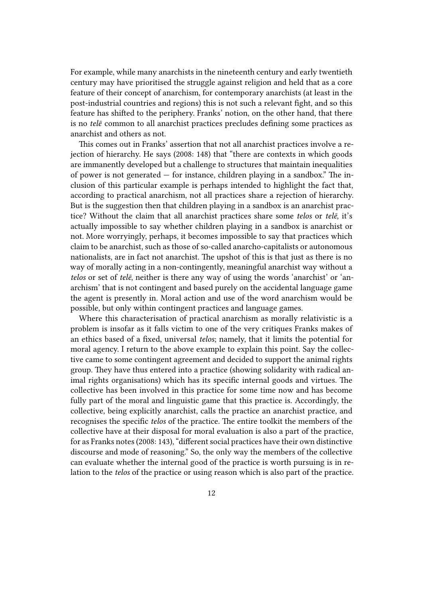For example, while many anarchists in the nineteenth century and early twentieth century may have prioritised the struggle against religion and held that as a core feature of their concept of anarchism, for contemporary anarchists (at least in the post-industrial countries and regions) this is not such a relevant fight, and so this feature has shifted to the periphery. Franks' notion, on the other hand, that there is no *telē* common to all anarchist practices precludes defining some practices as anarchist and others as not.

This comes out in Franks' assertion that not all anarchist practices involve a rejection of hierarchy. He says (2008: 148) that "there are contexts in which goods are immanently developed but a challenge to structures that maintain inequalities of power is not generated — for instance, children playing in a sandbox." The inclusion of this particular example is perhaps intended to highlight the fact that, according to practical anarchism, not all practices share a rejection of hierarchy. But is the suggestion then that children playing in a sandbox is an anarchist practice? Without the claim that all anarchist practices share some *telos* or *telē*, it's actually impossible to say whether children playing in a sandbox is anarchist or not. More worryingly, perhaps, it becomes impossible to say that practices which claim to be anarchist, such as those of so-called anarcho-capitalists or autonomous nationalists, are in fact not anarchist. The upshot of this is that just as there is no way of morally acting in a non-contingently, meaningful anarchist way without a *telos* or set of *telē*, neither is there any way of using the words 'anarchist' or 'anarchism' that is not contingent and based purely on the accidental language game the agent is presently in. Moral action and use of the word anarchism would be possible, but only within contingent practices and language games.

Where this characterisation of practical anarchism as morally relativistic is a problem is insofar as it falls victim to one of the very critiques Franks makes of an ethics based of a fixed, universal *telos*; namely, that it limits the potential for moral agency. I return to the above example to explain this point. Say the collective came to some contingent agreement and decided to support the animal rights group. They have thus entered into a practice (showing solidarity with radical animal rights organisations) which has its specific internal goods and virtues. The collective has been involved in this practice for some time now and has become fully part of the moral and linguistic game that this practice is. Accordingly, the collective, being explicitly anarchist, calls the practice an anarchist practice, and recognises the specific *telos* of the practice. The entire toolkit the members of the collective have at their disposal for moral evaluation is also a part of the practice, for as Franks notes (2008: 143), "different social practices have their own distinctive discourse and mode of reasoning." So, the only way the members of the collective can evaluate whether the internal good of the practice is worth pursuing is in relation to the *telos* of the practice or using reason which is also part of the practice.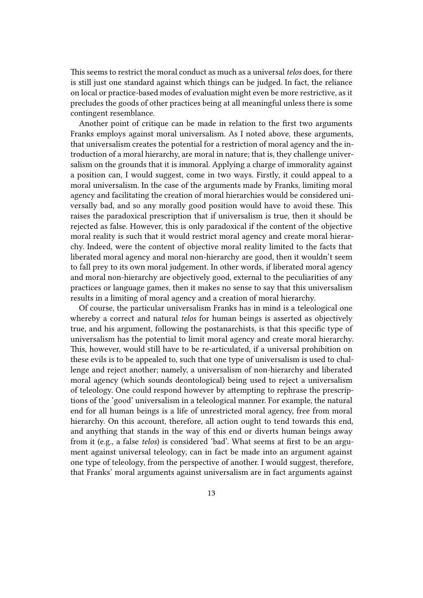This seems to restrict the moral conduct as much as a universal *telos* does, for there is still just one standard against which things can be judged. In fact, the reliance on local or practice-based modes of evaluation might even be more restrictive, as it precludes the goods of other practices being at all meaningful unless there is some contingent resemblance.

Another point of critique can be made in relation to the first two arguments Franks employs against moral universalism. As I noted above, these arguments, that universalism creates the potential for a restriction of moral agency and the introduction of a moral hierarchy, are moral in nature; that is, they challenge universalism on the grounds that it is immoral. Applying a charge of immorality against a position can, I would suggest, come in two ways. Firstly, it could appeal to a moral universalism. In the case of the arguments made by Franks, limiting moral agency and facilitating the creation of moral hierarchies would be considered universally bad, and so any morally good position would have to avoid these. This raises the paradoxical prescription that if universalism is true, then it should be rejected as false. However, this is only paradoxical if the content of the objective moral reality is such that it would restrict moral agency and create moral hierarchy. Indeed, were the content of objective moral reality limited to the facts that liberated moral agency and moral non-hierarchy are good, then it wouldn't seem to fall prey to its own moral judgement. In other words, if liberated moral agency and moral non-hierarchy are objectively good, external to the peculiarities of any practices or language games, then it makes no sense to say that this universalism results in a limiting of moral agency and a creation of moral hierarchy.

Of course, the particular universalism Franks has in mind is a teleological one whereby a correct and natural *telos* for human beings is asserted as objectively true, and his argument, following the postanarchists, is that this specific type of universalism has the potential to limit moral agency and create moral hierarchy. This, however, would still have to be re-articulated, if a universal prohibition on these evils is to be appealed to, such that one type of universalism is used to challenge and reject another; namely, a universalism of non-hierarchy and liberated moral agency (which sounds deontological) being used to reject a universalism of teleology. One could respond however by attempting to rephrase the prescriptions of the 'good' universalism in a teleological manner. For example, the natural end for all human beings is a life of unrestricted moral agency, free from moral hierarchy. On this account, therefore, all action ought to tend towards this end, and anything that stands in the way of this end or diverts human beings away from it (e.g., a false *telos*) is considered 'bad'. What seems at first to be an argument against universal teleology, can in fact be made into an argument against one type of teleology, from the perspective of another. I would suggest, therefore, that Franks' moral arguments against universalism are in fact arguments against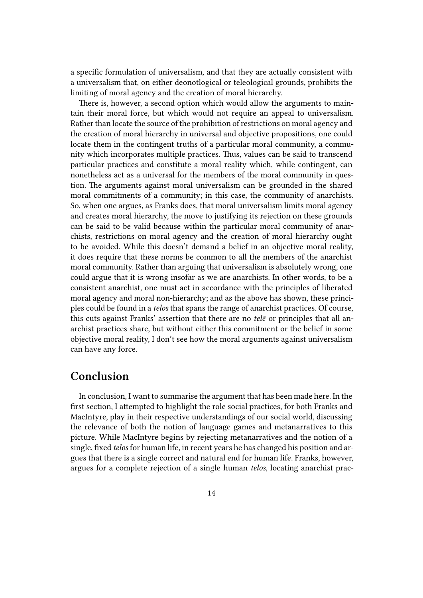a specific formulation of universalism, and that they are actually consistent with a universalism that, on either deonotlogical or teleological grounds, prohibits the limiting of moral agency and the creation of moral hierarchy.

There is, however, a second option which would allow the arguments to maintain their moral force, but which would not require an appeal to universalism. Rather than locate the source of the prohibition of restrictions on moral agency and the creation of moral hierarchy in universal and objective propositions, one could locate them in the contingent truths of a particular moral community, a community which incorporates multiple practices. Thus, values can be said to transcend particular practices and constitute a moral reality which, while contingent, can nonetheless act as a universal for the members of the moral community in question. The arguments against moral universalism can be grounded in the shared moral commitments of a community; in this case, the community of anarchists. So, when one argues, as Franks does, that moral universalism limits moral agency and creates moral hierarchy, the move to justifying its rejection on these grounds can be said to be valid because within the particular moral community of anarchists, restrictions on moral agency and the creation of moral hierarchy ought to be avoided. While this doesn't demand a belief in an objective moral reality, it does require that these norms be common to all the members of the anarchist moral community. Rather than arguing that universalism is absolutely wrong, one could argue that it is wrong insofar as we are anarchists. In other words, to be a consistent anarchist, one must act in accordance with the principles of liberated moral agency and moral non-hierarchy; and as the above has shown, these principles could be found in a *telos* that spans the range of anarchist practices. Of course, this cuts against Franks' assertion that there are no *telē* or principles that all anarchist practices share, but without either this commitment or the belief in some objective moral reality, I don't see how the moral arguments against universalism can have any force.

## **Conclusion**

In conclusion, I want to summarise the argument that has been made here. In the first section, I attempted to highlight the role social practices, for both Franks and MacIntyre, play in their respective understandings of our social world, discussing the relevance of both the notion of language games and metanarratives to this picture. While MacIntyre begins by rejecting metanarratives and the notion of a single, fixed *telos* for human life, in recent years he has changed his position and argues that there is a single correct and natural end for human life. Franks, however, argues for a complete rejection of a single human *telos*, locating anarchist prac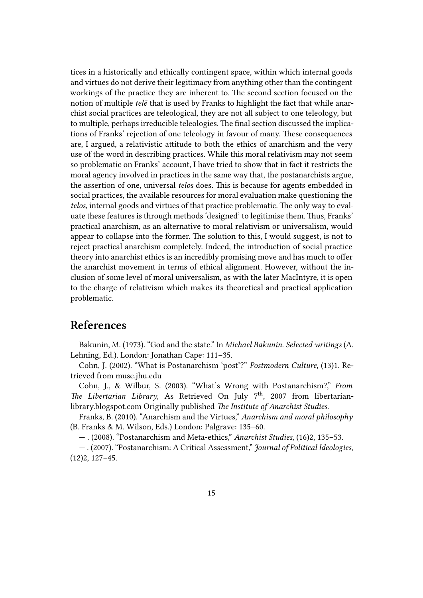tices in a historically and ethically contingent space, within which internal goods and virtues do not derive their legitimacy from anything other than the contingent workings of the practice they are inherent to. The second section focused on the notion of multiple *telē* that is used by Franks to highlight the fact that while anarchist social practices are teleological, they are not all subject to one teleology, but to multiple, perhaps irreducible teleologies. The final section discussed the implications of Franks' rejection of one teleology in favour of many. These consequences are, I argued, a relativistic attitude to both the ethics of anarchism and the very use of the word in describing practices. While this moral relativism may not seem so problematic on Franks' account, I have tried to show that in fact it restricts the moral agency involved in practices in the same way that, the postanarchists argue, the assertion of one, universal *telos* does. This is because for agents embedded in social practices, the available resources for moral evaluation make questioning the *telos*, internal goods and virtues of that practice problematic. The only way to evaluate these features is through methods 'designed' to legitimise them. Thus, Franks' practical anarchism, as an alternative to moral relativism or universalism, would appear to collapse into the former. The solution to this, I would suggest, is not to reject practical anarchism completely. Indeed, the introduction of social practice theory into anarchist ethics is an incredibly promising move and has much to offer the anarchist movement in terms of ethical alignment. However, without the inclusion of some level of moral universalism, as with the later MacIntyre, it is open to the charge of relativism which makes its theoretical and practical application problematic.

## **References**

Bakunin, M. (1973). "God and the state." In *Michael Bakunin. Selected writings* (A. Lehning, Ed.). London: Jonathan Cape: 111–35.

Cohn, J. (2002). "What is Postanarchism 'post'?" *Postmodern Culture*, (13)1. Retrieved from muse.jhu.edu

Cohn, J., & Wilbur, S. (2003). "What's Wrong with Postanarchism?," *From The Libertarian Library*, As Retrieved On July 7<sup>th</sup>, 2007 from libertarianlibrary.blogspot.com Originally published *The Institute of Anarchist Studies*.

Franks, B. [\(2010\). "Anarc](http://muse.jhu.edu/journals/postmodern_culture/v013/13.1cohn.html)hism and the Virtues," *Anarchism and moral philosophy* (B. Franks & M. Wilson, Eds.) London: Palgrave: 135–60.

[— . \(2008\). "Postan](http://libertarian-library.blogspot.com/2007/07/cohn-and-wilbur-whats-wrong-with.html)archism and Meta-ethics," *Anarchist Studies*, (16)2[, 135–53.](http://libertarian-library.blogspot.com/2007/07/cohn-and-wilbur-whats-wrong-with.html)

— . (2007). "Postanarchism: A Critical Assessment," *Journal of Political Ideologies*, (12)2, 127–45.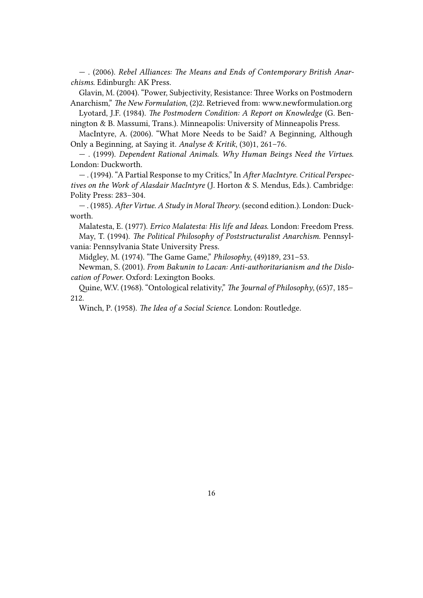— . (2006). *Rebel Alliances: The Means and Ends of Contemporary British Anarchisms*. Edinburgh: AK Press.

Glavin, M. (2004). "Power, Subjectivity, Resistance: Three Works on Postmodern Anarchism," *The New Formulation*, (2)2. Retrieved from: www.newformulation.org

Lyotard, J.F. (1984). *The Postmodern Condition: A Report on Knowledge* (G. Bennington & B. Massumi, Trans.). Minneapolis: University of Minneapolis Press.

MacIntyre, A. (2006). "What More Needs to be Sai[d? A Beginning, Although](http://www.newformulation.org/4glavin.htm) Only a Beginning, at Saying it. *Analyse & Kritik*, (30)1, 261–76.

— . (1999). *Dependent Rational Animals. Why Human Beings Need the Virtues*. London: Duckworth.

— . (1994). "A Partial Response to my Critics," In *After MacIntyre. Critical Perspectives on the Work of Alasdair MacIntyre* (J. Horton & S. Mendus, Eds.). Cambridge: Polity Press: 283–304.

— . (1985). *After Virtue. A Study in Moral Theory*. (second edition.). London: Duckworth.

Malatesta, E. (1977). *Errico Malatesta: His life and Ideas*. London: Freedom Press. May, T. (1994). *The Political Philosophy of Poststructuralist Anarchism*. Pennsylvania: Pennsylvania State University Press.

Midgley, M. (1974). "The Game Game," *Philosophy*, (49)189, 231–53.

Newman, S. (2001). *From Bakunin to Lacan: Anti-authoritarianism and the Dislocation of Power*. Oxford: Lexington Books.

Quine, W.V. (1968). "Ontological relativity," *The Journal of Philosophy*, (65)7, 185– 212.

Winch, P. (1958). *The Idea of a Social Science*. London: Routledge.